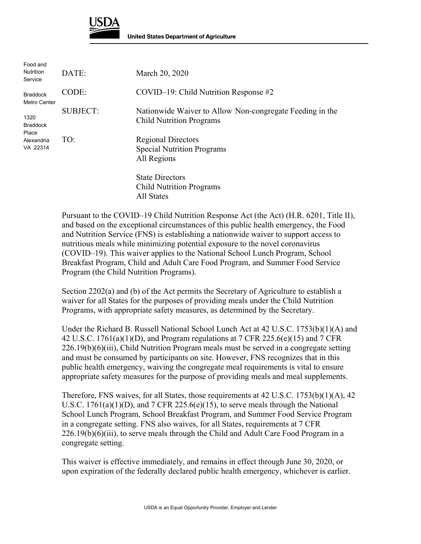

| Food and<br><b>Nutrition</b><br>Service                    | DATE:           | March 20, 2020                                                                              |
|------------------------------------------------------------|-----------------|---------------------------------------------------------------------------------------------|
| <b>Braddock</b><br>Metro Center                            | CODE:           | $COVID-19$ : Child Nutrition Response #2                                                    |
| 1320<br><b>Braddock</b><br>Place<br>Alexandria<br>VA 22314 | <b>SUBJECT:</b> | Nationwide Waiver to Allow Non-congregate Feeding in the<br><b>Child Nutrition Programs</b> |
|                                                            | TO:             | <b>Regional Directors</b><br><b>Special Nutrition Programs</b><br>All Regions               |
|                                                            |                 | <b>State Directors</b><br><b>Child Nutrition Programs</b><br><b>All States</b>              |

Pursuant to the COVID–19 Child Nutrition Response Act (the Act) (H.R. 6201, Title II), and based on the exceptional circumstances of this public health emergency, the Food and Nutrition Service (FNS) is establishing a nationwide waiver to support access to nutritious meals while minimizing potential exposure to the novel coronavirus (COVID–19). This waiver applies to the National School Lunch Program, School Breakfast Program, Child and Adult Care Food Program, and Summer Food Service Program (the Child Nutrition Programs).

Section 2202(a) and (b) of the Act permits the Secretary of Agriculture to establish a waiver for all States for the purposes of providing meals under the Child Nutrition Programs, with appropriate safety measures, as determined by the Secretary.

Under the Richard B. Russell National School Lunch Act at 42 U.S.C. 1753(b)(1)(A) and 42 U.S.C. 1761(a)(1)(D), and Program regulations at 7 CFR 225.6(e)(15) and 7 CFR 226.19(b)(6)(iii), Child Nutrition Program meals must be served in a congregate setting and must be consumed by participants on site. However, FNS recognizes that in this public health emergency, waiving the congregate meal requirements is vital to ensure appropriate safety measures for the purpose of providing meals and meal supplements.

Therefore, FNS waives, for all States, those requirements at  $42 \text{ U.S.C. } 1753 \text{ (b)}(1) \text{ (A)}$ ,  $42$ U.S.C. 1761(a)(1)(D), and 7 CFR 225.6(e)(15), to serve meals through the National School Lunch Program, School Breakfast Program, and Summer Food Service Program in a congregate setting. FNS also waives, for all States, requirements at 7 CFR 226.19(b)(6)(iii), to serve meals through the Child and Adult Care Food Program in a congregate setting.

This waiver is effective immediately, and remains in effect through June 30, 2020, or upon expiration of the federally declared public health emergency, whichever is earlier.